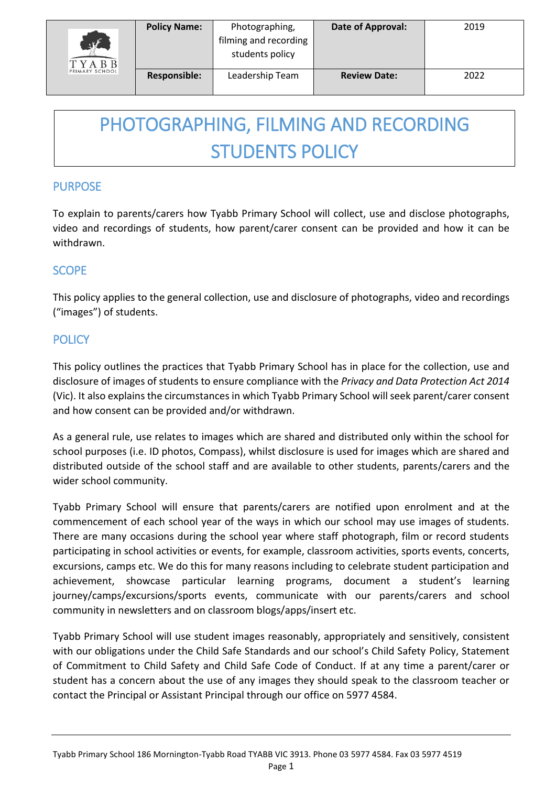| K<br><b>TYABB</b> | <b>Policy Name:</b> | Photographing,<br>filming and recording<br>students policy | Date of Approval:   | 2019 |
|-------------------|---------------------|------------------------------------------------------------|---------------------|------|
| PRIMARY SCHOOL    | <b>Responsible:</b> | Leadership Team                                            | <b>Review Date:</b> | 2022 |

# PHOTOGRAPHING, FILMING AND RECORDING STUDENTS POLICY

## PURPOSE

To explain to parents/carers how Tyabb Primary School will collect, use and disclose photographs, video and recordings of students, how parent/carer consent can be provided and how it can be withdrawn.

## **SCOPE**

This policy applies to the general collection, use and disclosure of photographs, video and recordings ("images") of students.

# **POLICY**

This policy outlines the practices that Tyabb Primary School has in place for the collection, use and disclosure of images of students to ensure compliance with the *Privacy and Data Protection Act 2014*  (Vic). It also explains the circumstances in which Tyabb Primary School will seek parent/carer consent and how consent can be provided and/or withdrawn.

As a general rule, use relates to images which are shared and distributed only within the school for school purposes (i.e. ID photos, Compass), whilst disclosure is used for images which are shared and distributed outside of the school staff and are available to other students, parents/carers and the wider school community.

Tyabb Primary School will ensure that parents/carers are notified upon enrolment and at the commencement of each school year of the ways in which our school may use images of students. There are many occasions during the school year where staff photograph, film or record students participating in school activities or events, for example, classroom activities, sports events, concerts, excursions, camps etc. We do this for many reasons including to celebrate student participation and achievement, showcase particular learning programs, document a student's learning journey/camps/excursions/sports events, communicate with our parents/carers and school community in newsletters and on classroom blogs/apps/insert etc.

Tyabb Primary School will use student images reasonably, appropriately and sensitively, consistent with our obligations under the Child Safe Standards and our school's Child Safety Policy, Statement of Commitment to Child Safety and Child Safe Code of Conduct. If at any time a parent/carer or student has a concern about the use of any images they should speak to the classroom teacher or contact the Principal or Assistant Principal through our office on 5977 4584.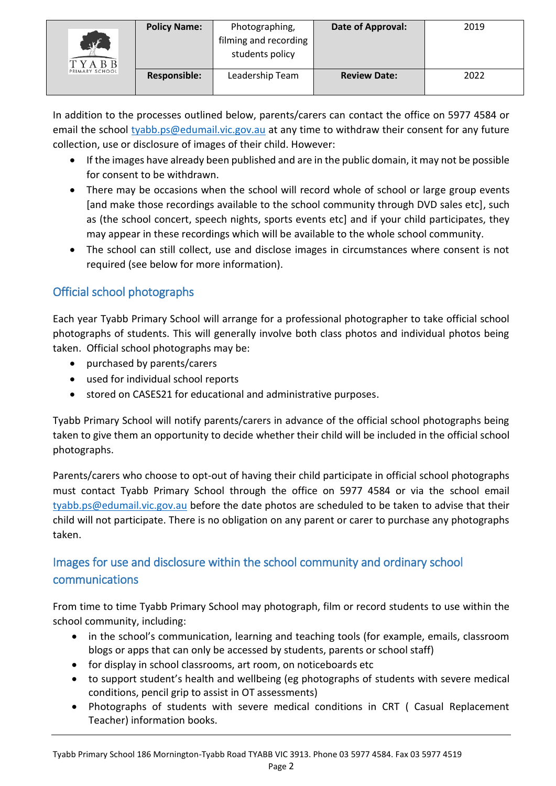| $\mathcal{A}$<br>TYARR | <b>Policy Name:</b> | Photographing,<br>filming and recording<br>students policy | Date of Approval:   | 2019 |
|------------------------|---------------------|------------------------------------------------------------|---------------------|------|
| PRIMARY SCHOOL         | <b>Responsible:</b> | Leadership Team                                            | <b>Review Date:</b> | 2022 |

In addition to the processes outlined below, parents/carers can contact the office on 5977 4584 or email the school [tyabb.ps@edumail.vic.gov.au](mailto:tyabb.ps@edumail.vic.gov.au) at any time to withdraw their consent for any future collection, use or disclosure of images of their child. However:

- If the images have already been published and are in the public domain, it may not be possible for consent to be withdrawn.
- There may be occasions when the school will record whole of school or large group events [and make those recordings available to the school community through DVD sales etc], such as (the school concert, speech nights, sports events etc] and if your child participates, they may appear in these recordings which will be available to the whole school community.
- The school can still collect, use and disclose images in circumstances where consent is not required (see below for more information).

# Official school photographs

Each year Tyabb Primary School will arrange for a professional photographer to take official school photographs of students. This will generally involve both class photos and individual photos being taken. Official school photographs may be:

- purchased by parents/carers
- used for individual school reports
- stored on CASES21 for educational and administrative purposes.

Tyabb Primary School will notify parents/carers in advance of the official school photographs being taken to give them an opportunity to decide whether their child will be included in the official school photographs.

Parents/carers who choose to opt-out of having their child participate in official school photographs must contact Tyabb Primary School through the office on 5977 4584 or via the school email [tyabb.ps@edumail.vic.gov.au](mailto:tyabb.ps@edumail.vic.gov.au) before the date photos are scheduled to be taken to advise that their child will not participate. There is no obligation on any parent or carer to purchase any photographs taken.

# Images for use and disclosure within the school community and ordinary school communications

From time to time Tyabb Primary School may photograph, film or record students to use within the school community, including:

- in the school's communication, learning and teaching tools (for example, emails, classroom blogs or apps that can only be accessed by students, parents or school staff)
- for display in school classrooms, art room, on noticeboards etc
- to support student's health and wellbeing (eg photographs of students with severe medical conditions, pencil grip to assist in OT assessments)
- Photographs of students with severe medical conditions in CRT ( Casual Replacement Teacher) information books.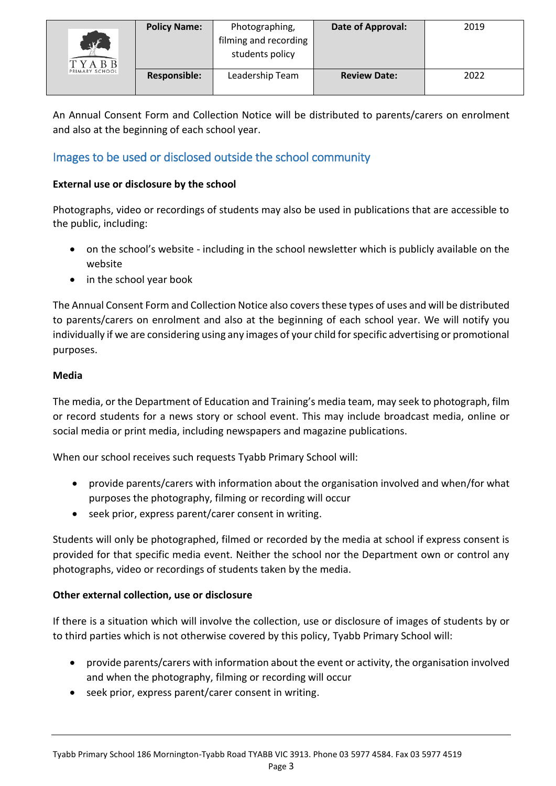| $\mathbf{u}$<br>TYABB<br>PRIMARY SCHOOL | <b>Policy Name:</b> | Photographing,<br>filming and recording<br>students policy | Date of Approval:   | 2019 |
|-----------------------------------------|---------------------|------------------------------------------------------------|---------------------|------|
|                                         | <b>Responsible:</b> | Leadership Team                                            | <b>Review Date:</b> | 2022 |

An Annual Consent Form and Collection Notice will be distributed to parents/carers on enrolment and also at the beginning of each school year.

# Images to be used or disclosed outside the school community

#### **External use or disclosure by the school**

Photographs, video or recordings of students may also be used in publications that are accessible to the public, including:

- on the school's website including in the school newsletter which is publicly available on the website
- in the school year book

The Annual Consent Form and Collection Notice also covers these types of uses and will be distributed to parents/carers on enrolment and also at the beginning of each school year. We will notify you individually if we are considering using any images of your child for specific advertising or promotional purposes.

#### **Media**

The media, or the Department of Education and Training's media team, may seek to photograph, film or record students for a news story or school event. This may include broadcast media, online or social media or print media, including newspapers and magazine publications.

When our school receives such requests Tyabb Primary School will:

- provide parents/carers with information about the organisation involved and when/for what purposes the photography, filming or recording will occur
- seek prior, express parent/carer consent in writing.

Students will only be photographed, filmed or recorded by the media at school if express consent is provided for that specific media event. Neither the school nor the Department own or control any photographs, video or recordings of students taken by the media.

#### **Other external collection, use or disclosure**

If there is a situation which will involve the collection, use or disclosure of images of students by or to third parties which is not otherwise covered by this policy, Tyabb Primary School will:

- provide parents/carers with information about the event or activity, the organisation involved and when the photography, filming or recording will occur
- seek prior, express parent/carer consent in writing.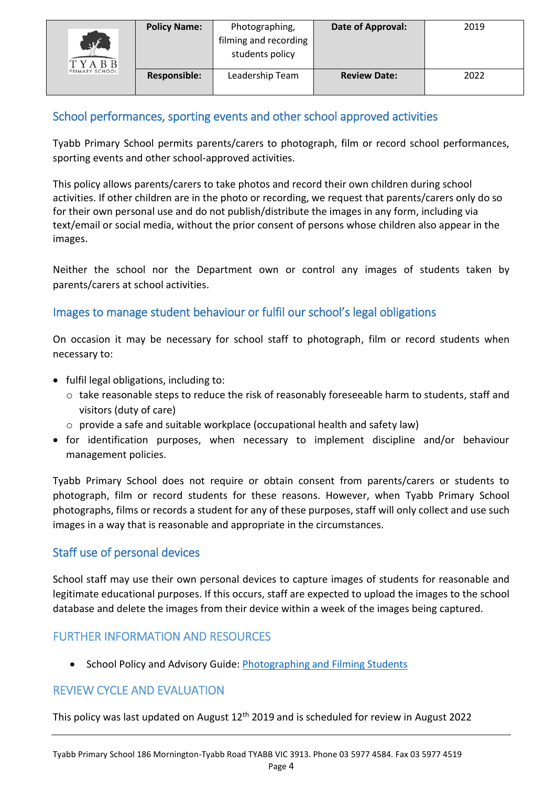| $\mathcal{F}$<br>TYABB<br>PRIMARY SCHOOL | <b>Policy Name:</b> | Photographing,<br>filming and recording<br>students policy | Date of Approval:   | 2019 |
|------------------------------------------|---------------------|------------------------------------------------------------|---------------------|------|
|                                          | <b>Responsible:</b> | Leadership Team                                            | <b>Review Date:</b> | 2022 |

## School performances, sporting events and other school approved activities

Tyabb Primary School permits parents/carers to photograph, film or record school performances, sporting events and other school-approved activities.

This policy allows parents/carers to take photos and record their own children during school activities. If other children are in the photo or recording, we request that parents/carers only do so for their own personal use and do not publish/distribute the images in any form, including via text/email or social media, without the prior consent of persons whose children also appear in the images.

Neither the school nor the Department own or control any images of students taken by parents/carers at school activities.

## Images to manage student behaviour or fulfil our school's legal obligations

On occasion it may be necessary for school staff to photograph, film or record students when necessary to:

- fulfil legal obligations, including to:
	- $\circ$  take reasonable steps to reduce the risk of reasonably foreseeable harm to students, staff and visitors (duty of care)
	- o provide a safe and suitable workplace (occupational health and safety law)
- for identification purposes, when necessary to implement discipline and/or behaviour management policies.

Tyabb Primary School does not require or obtain consent from parents/carers or students to photograph, film or record students for these reasons. However, when Tyabb Primary School photographs, films or records a student for any of these purposes, staff will only collect and use such images in a way that is reasonable and appropriate in the circumstances.

## Staff use of personal devices

School staff may use their own personal devices to capture images of students for reasonable and legitimate educational purposes. If this occurs, staff are expected to upload the images to the school database and delete the images from their device within a week of the images being captured.

# FURTHER INFORMATION AND RESOURCES

• School Policy and Advisory Guide: [Photographing and Filming Students](http://www.education.vic.gov.au/school/principals/spag/safety/pages/photoandfilm.aspx)

## REVIEW CYCLE AND EVALUATION

This policy was last updated on August  $12<sup>th</sup>$  2019 and is scheduled for review in August 2022